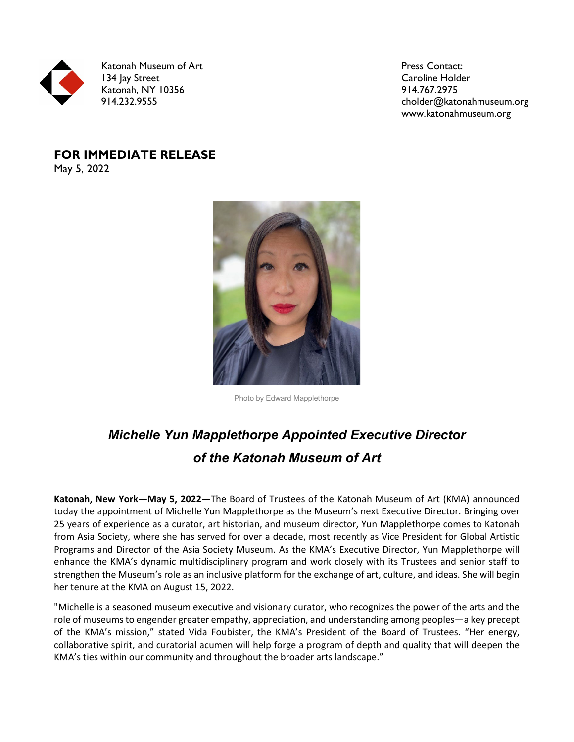

Katonah Museum of Art 134 Jay Street Katonah, NY 10356 914.232.9555

Press Contact: Caroline Holder 914.767.2975 cholder@katonahmuseum.org www.katonahmuseum.org

## **FOR IMMEDIATE RELEASE** May 5, 2022

Photo by Edward Mapplethorpe

## *Michelle Yun Mapplethorpe Appointed Executive Director of the Katonah Museum of Art*

**Katonah, New York—May 5, 2022—**The Board of Trustees of the Katonah Museum of Art (KMA) announced today the appointment of Michelle Yun Mapplethorpe as the Museum's next Executive Director. Bringing over 25 years of experience as a curator, art historian, and museum director, Yun Mapplethorpe comes to Katonah from Asia Society, where she has served for over a decade, most recently as Vice President for Global Artistic Programs and Director of the Asia Society Museum. As the KMA's Executive Director, Yun Mapplethorpe will enhance the KMA's dynamic multidisciplinary program and work closely with its Trustees and senior staff to strengthen the Museum's role as an inclusive platform for the exchange of art, culture, and ideas. She will begin her tenure at the KMA on August 15, 2022.

"Michelle is a seasoned museum executive and visionary curator, who recognizes the power of the arts and the role of museums to engender greater empathy, appreciation, and understanding among peoples—a key precept of the KMA's mission," stated Vida Foubister, the KMA's President of the Board of Trustees. "Her energy, collaborative spirit, and curatorial acumen will help forge a program of depth and quality that will deepen the KMA's ties within our community and throughout the broader arts landscape."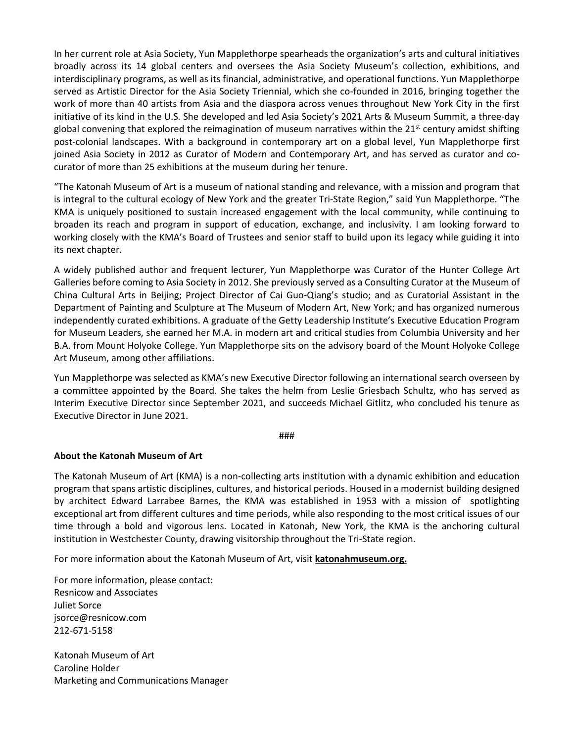In her current role at Asia Society, Yun Mapplethorpe spearheads the organization's arts and cultural initiatives broadly across its 14 global centers and oversees the Asia Society Museum's collection, exhibitions, and interdisciplinary programs, as well as its financial, administrative, and operational functions. Yun Mapplethorpe served as Artistic Director for the Asia Society Triennial, which she co-founded in 2016, bringing together the work of more than 40 artists from Asia and the diaspora across venues throughout New York City in the first initiative of its kind in the U.S. She developed and led Asia Society's 2021 Arts & Museum Summit, a three-day global convening that explored the reimagination of museum narratives within the 21<sup>st</sup> century amidst shifting post-colonial landscapes. With a background in contemporary art on a global level, Yun Mapplethorpe first joined Asia Society in 2012 as Curator of Modern and Contemporary Art, and has served as curator and cocurator of more than 25 exhibitions at the museum during her tenure.

"The Katonah Museum of Art is a museum of national standing and relevance, with a mission and program that is integral to the cultural ecology of New York and the greater Tri-State Region," said Yun Mapplethorpe. "The KMA is uniquely positioned to sustain increased engagement with the local community, while continuing to broaden its reach and program in support of education, exchange, and inclusivity. I am looking forward to working closely with the KMA's Board of Trustees and senior staff to build upon its legacy while guiding it into its next chapter.

A widely published author and frequent lecturer, Yun Mapplethorpe was Curator of the Hunter College Art Galleries before coming to Asia Society in 2012. She previously served as a Consulting Curator at the Museum of China Cultural Arts in Beijing; Project Director of Cai Guo-Qiang's studio; and as Curatorial Assistant in the Department of Painting and Sculpture at The Museum of Modern Art, New York; and has organized numerous independently curated exhibitions. A graduate of the Getty Leadership Institute's Executive Education Program for Museum Leaders, she earned her M.A. in modern art and critical studies from Columbia University and her B.A. from Mount Holyoke College. Yun Mapplethorpe sits on the advisory board of the Mount Holyoke College Art Museum, among other affiliations.

Yun Mapplethorpe was selected as KMA's new Executive Director following an international search overseen by a committee appointed by the Board. She takes the helm from Leslie Griesbach Schultz, who has served as Interim Executive Director since September 2021, and succeeds Michael Gitlitz, who concluded his tenure as Executive Director in June 2021.

###

## **About the Katonah Museum of Art**

The Katonah Museum of Art (KMA) is a non-collecting arts institution with a dynamic exhibition and education program that spans artistic disciplines, cultures, and historical periods. Housed in a modernist building designed by architect Edward Larrabee Barnes, the KMA was established in 1953 with a mission of spotlighting exceptional art from different cultures and time periods, while also responding to the most critical issues of our time through a bold and vigorous lens. Located in Katonah, New York, the KMA is the anchoring cultural institution in Westchester County, drawing visitorship throughout the Tri-State region.

For more information about the Katonah Museum of Art, visit **[katonahmuseum.org.](https://www.katonahmuseum.org/)**

For more information, please contact: Resnicow and Associates Juliet Sorce jsorce@resnicow.com 212-671-5158

Katonah Museum of Art Caroline Holder Marketing and Communications Manager